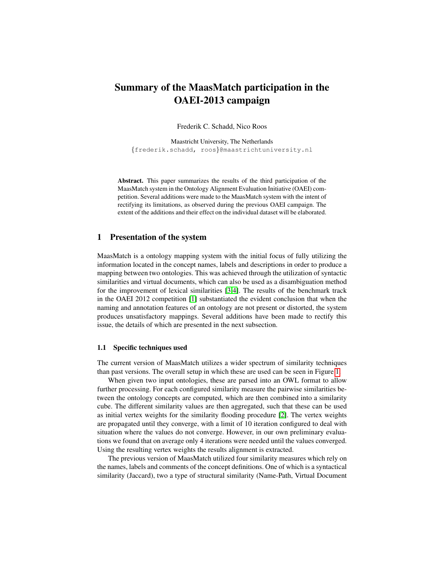# Summary of the MaasMatch participation in the OAEI-2013 campaign

Frederik C. Schadd, Nico Roos

Maastricht University, The Netherlands *{*frederik.schadd, roos*}*@maastrichtuniversity.nl

Abstract. This paper summarizes the results of the third participation of the MaasMatch system in the Ontology Alignment Evaluation Initiative (OAEI) competition. Several additions were made to the MaasMatch system with the intent of rectifying its limitations, as observed during the previous OAEI campaign. The extent of the additions and their effect on the individual dataset will be elaborated.

# 1 Presentation of the system

MaasMatch is a ontology mapping system with the initial focus of fully utilizing the information located in the concept names, labels and descriptions in order to produce a mapping between two ontologies. This was achieved through the utilization of syntactic similarities and virtual documents, which can also be used as a disambiguation method for the improvement of lexical similarities [\[3](#page-6-0)[,4\]](#page-6-1). The results of the benchmark track in the OAEI 2012 competition [\[1\]](#page-6-2) substantiated the evident conclusion that when the naming and annotation features of an ontology are not present or distorted, the system produces unsatisfactory mappings. Several additions have been made to rectify this issue, the details of which are presented in the next subsection.

### 1.1 Specific techniques used

The current version of MaasMatch utilizes a wider spectrum of similarity techniques than past versions. The overall setup in which these are used can be seen in Figure [1.](#page-1-0)

When given two input ontologies, these are parsed into an OWL format to allow further processing. For each configured similarity measure the pairwise similarities between the ontology concepts are computed, which are then combined into a similarity cube. The different similarity values are then aggregated, such that these can be used as initial vertex weights for the similarity flooding procedure [\[2\]](#page-6-3). The vertex weights are propagated until they converge, with a limit of 10 iteration configured to deal with situation where the values do not converge. However, in our own preliminary evaluations we found that on average only 4 iterations were needed until the values converged. Using the resulting vertex weights the results alignment is extracted.

The previous version of MaasMatch utilized four similarity measures which rely on the names, labels and comments of the concept definitions. One of which is a syntactical similarity (Jaccard), two a type of structural similarity (Name-Path, Virtual Document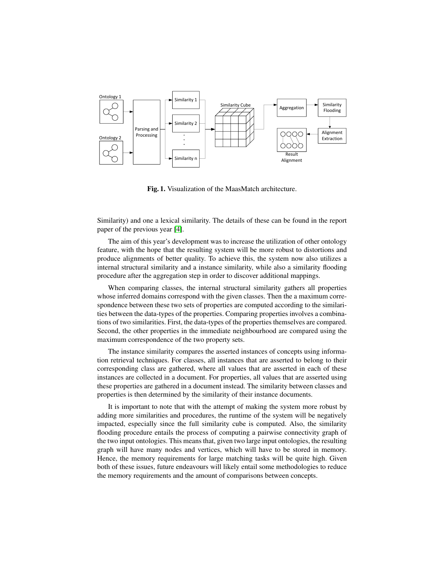

<span id="page-1-0"></span>Fig. 1. Visualization of the MaasMatch architecture.

Similarity) and one a lexical similarity. The details of these can be found in the report paper of the previous year [\[4\]](#page-6-1).

The aim of this year's development was to increase the utilization of other ontology feature, with the hope that the resulting system will be more robust to distortions and produce alignments of better quality. To achieve this, the system now also utilizes a internal structural similarity and a instance similarity, while also a similarity flooding procedure after the aggregation step in order to discover additional mappings.

When comparing classes, the internal structural similarity gathers all properties whose inferred domains correspond with the given classes. Then the a maximum correspondence between these two sets of properties are computed according to the similarities between the data-types of the properties. Comparing properties involves a combinations of two similarities. First, the data-types of the properties themselves are compared. Second, the other properties in the immediate neighbourhood are compared using the maximum correspondence of the two property sets.

The instance similarity compares the asserted instances of concepts using information retrieval techniques. For classes, all instances that are asserted to belong to their corresponding class are gathered, where all values that are asserted in each of these instances are collected in a document. For properties, all values that are asserted using these properties are gathered in a document instead. The similarity between classes and properties is then determined by the similarity of their instance documents.

It is important to note that with the attempt of making the system more robust by adding more similarities and procedures, the runtime of the system will be negatively impacted, especially since the full similarity cube is computed. Also, the similarity flooding procedure entails the process of computing a pairwise connectivity graph of the two input ontologies. This means that, given two large input ontologies, the resulting graph will have many nodes and vertices, which will have to be stored in memory. Hence, the memory requirements for large matching tasks will be quite high. Given both of these issues, future endeavours will likely entail some methodologies to reduce the memory requirements and the amount of comparisons between concepts.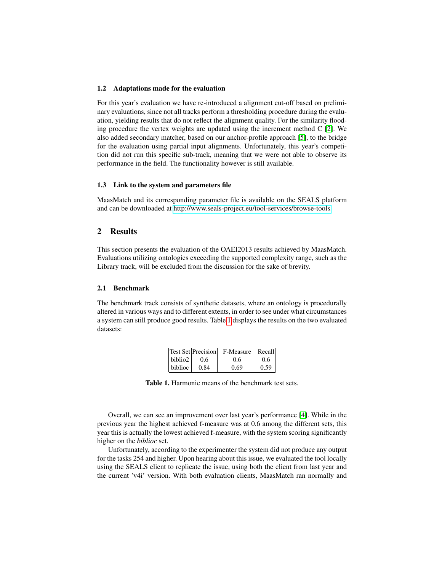#### 1.2 Adaptations made for the evaluation

For this year's evaluation we have re-introduced a alignment cut-off based on preliminary evaluations, since not all tracks perform a thresholding procedure during the evaluation, yielding results that do not reflect the alignment quality. For the similarity flooding procedure the vertex weights are updated using the increment method  $C$  [\[2\]](#page-6-3). We also added secondary matcher, based on our anchor-profile approach [\[5\]](#page-6-4), to the bridge for the evaluation using partial input alignments. Unfortunately, this year's competition did not run this specific sub-track, meaning that we were not able to observe its performance in the field. The functionality however is still available.

## 1.3 Link to the system and parameters file

MaasMatch and its corresponding parameter file is available on the SEALS platform and can be downloaded at [http://www.seals-project.eu/tool-services/browse-tools.](http://www.seals-project.eu/tool-services/browse-tools)

## 2 Results

This section presents the evaluation of the OAEI2013 results achieved by MaasMatch. Evaluations utilizing ontologies exceeding the supported complexity range, such as the Library track, will be excluded from the discussion for the sake of brevity.

#### 2.1 Benchmark

The benchmark track consists of synthetic datasets, where an ontology is procedurally altered in various ways and to different extents, in order to see under what circumstances a system can still produce good results. Table [1](#page-2-0) displays the results on the two evaluated datasets:

|                     | <b>Test Set Precision</b> | F-Measure | Recall |
|---------------------|---------------------------|-----------|--------|
| biblio <sub>2</sub> | 0.6                       | 0.6       | 0.6    |
| <b>biblioc</b>      | 0.84                      | 0.69      | 0.59   |

<span id="page-2-0"></span>Table 1. Harmonic means of the benchmark test sets.

Overall, we can see an improvement over last year's performance [\[4\]](#page-6-1). While in the previous year the highest achieved f-measure was at 0.6 among the different sets, this year this is actually the lowest achieved f-measure, with the system scoring significantly higher on the *biblioc* set.

Unfortunately, according to the experimenter the system did not produce any output for the tasks 254 and higher. Upon hearing about this issue, we evaluated the tool locally using the SEALS client to replicate the issue, using both the client from last year and the current 'v4i' version. With both evaluation clients, MaasMatch ran normally and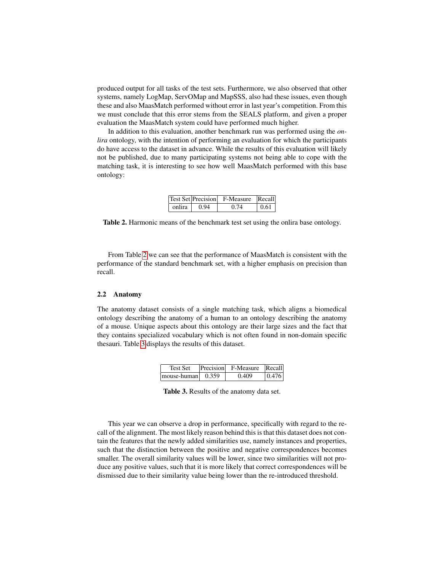produced output for all tasks of the test sets. Furthermore, we also observed that other systems, namely LogMap, ServOMap and MapSSS, also had these issues, even though these and also MaasMatch performed without error in last year's competition. From this we must conclude that this error stems from the SEALS platform, and given a proper evaluation the MaasMatch system could have performed much higher.

In addition to this evaluation, another benchmark run was performed using the *onlira* ontology, with the intention of performing an evaluation for which the participants do have access to the dataset in advance. While the results of this evaluation will likely not be published, due to many participating systems not being able to cope with the matching task, it is interesting to see how well MaasMatch performed with this base ontology:

|                     | Test Set Precision F-Measure Recall |       |
|---------------------|-------------------------------------|-------|
| onlira $\vert$ 0.94 | 0.74                                | 10.61 |

<span id="page-3-0"></span>Table 2. Harmonic means of the benchmark test set using the onlira base ontology.

From Table [2](#page-3-0) we can see that the performance of MaasMatch is consistent with the performance of the standard benchmark set, with a higher emphasis on precision than recall.

#### 2.2 Anatomy

The anatomy dataset consists of a single matching task, which aligns a biomedical ontology describing the anatomy of a human to an ontology describing the anatomy of a mouse. Unique aspects about this ontology are their large sizes and the fact that they contains specialized vocabulary which is not often found in non-domain specific thesauri. Table [3](#page-3-1) displays the results of this dataset.

| Test Set                  | Precision F-Measure Recall |       |
|---------------------------|----------------------------|-------|
| mouse-human $\vert$ 0.359 | 0.409                      | 0.476 |

<span id="page-3-1"></span>Table 3. Results of the anatomy data set.

This year we can observe a drop in performance, specifically with regard to the recall of the alignment. The most likely reason behind this is that this dataset does not contain the features that the newly added similarities use, namely instances and properties, such that the distinction between the positive and negative correspondences becomes smaller. The overall similarity values will be lower, since two similarities will not produce any positive values, such that it is more likely that correct correspondences will be dismissed due to their similarity value being lower than the re-introduced threshold.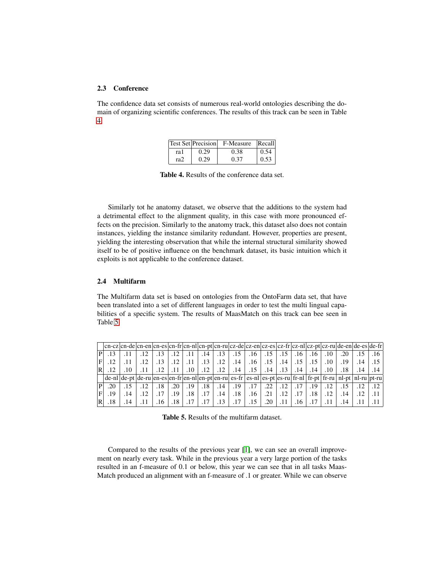## 2.3 Conference

The confidence data set consists of numerous real-world ontologies describing the domain of organizing scientific conferences. The results of this track can be seen in Table [4.](#page-4-0)

|      |      | <b>Test Set Precision</b> F-Measure Recall |      |
|------|------|--------------------------------------------|------|
| ra l | 0.29 | 0.38                                       | 0.54 |
| ra2  | 0.29 | 0.37                                       | 0.53 |

<span id="page-4-0"></span>Table 4. Results of the conference data set.

Similarly tot he anatomy dataset, we observe that the additions to the system had a detrimental effect to the alignment quality, in this case with more pronounced effects on the precision. Similarly to the anatomy track, this dataset also does not contain instances, yielding the instance similarity redundant. However, properties are present, yielding the interesting observation that while the internal structural similarity showed itself to be of positive influence on the benchmark dataset, its basic intuition which it exploits is not applicable to the conference dataset.

## 2.4 Multifarm

The Multifarm data set is based on ontologies from the OntoFarm data set, that have been translated into a set of different languages in order to test the multi lingual capabilities of a specific system. The results of MaasMatch on this track can bee seen in Table [5.](#page-4-1)

|   | $ cn-cz cn-de cn-en cn-es cn-fr cn-n1 cn-pt cn-ru cz-de cz-en cz-es cz-fr cz-n1 cz-ru cz-ru de-en de-es de-fr cz-ru cz-ru dc-n1 cz-ru dc-n1 cz-ru dc-n1 cz-ru dc-n1 cz-ru dc-n1 cz-ru dc-n1 cz-ru dc-n1 cz-ru dc-n1 cz-ru dc-n1 cz-ru dc-n1 cz-ru dc-n1 cz-ru dc-n1 cz-ru dc-n1 cz-ru dc-n1 cz-ru dc-n1 cz-ru dc-n1 cz-ru dc-n1 cz-ru dc-n1 cz-ru dc-n1 cz-r$                              |     |     |     |         |                  |                  |     |        |             |               |                       |                  |                  |                  |         |     |     |
|---|--------------------------------------------------------------------------------------------------------------------------------------------------------------------------------------------------------------------------------------------------------------------------------------------------------------------------------------------------------------------------------------------|-----|-----|-----|---------|------------------|------------------|-----|--------|-------------|---------------|-----------------------|------------------|------------------|------------------|---------|-----|-----|
| P | .13                                                                                                                                                                                                                                                                                                                                                                                        |     |     |     | .12     | .11              | .14              | .13 | .15    | $.16-1$     |               | $.15$   .15           | .16              | .16              | $.10\,$          | $.20\,$ |     | .16 |
|   | .12                                                                                                                                                                                                                                                                                                                                                                                        |     |     | .13 | .12     | .11              | .13 <sub>1</sub> | .12 | .14    | $.16-1$     |               | $.15$   $.14$         | $\ldots$ 15      | .15              | .10 <sup>°</sup> | .19     | .14 |     |
| R | .12                                                                                                                                                                                                                                                                                                                                                                                        | .10 | .11 | .12 | .11     | .10 <sup>1</sup> | .12 <sub>1</sub> | .12 |        | $.14$   .15 | $.14 \pm .13$ |                       | .14              | .14              | $.10\,$          | .18     | .14 | .14 |
|   | $\left  \text{de-nl} \right  \text{de-pt} \left  \text{de-pt} \right  \text{en-es} \left  \text{en-es} \right  \text{en-rd} \left  \text{en-pt} \right  \text{en-pt} \left  \text{es-ft} \right  \text{es-pt} \left  \text{es-pt} \right  \text{es-rd} \left  \text{fr-rd} \right  \text{fr-pt} \left  \text{fr-pt} \right  \text{nl-pt} \left  \text{nl-pt} \right  \text{pt-ru} \right $ |     |     |     |         |                  |                  |     |        |             |               |                       |                  |                  |                  |         |     |     |
| P | $.20\,$                                                                                                                                                                                                                                                                                                                                                                                    |     |     | .18 | $.20\,$ | .19              | .18 <sup>1</sup> | .14 | $.19+$ | $\pm .17 +$ |               | $.22$   $.12$   $.17$ |                  | .19 <sup>1</sup> | .12              | .15     |     |     |
|   | .19                                                                                                                                                                                                                                                                                                                                                                                        | .14 | .12 | .17 | .19     | .18              | .17              | .14 | .18    | .16         | .21           | .12                   | .17              | .18              | .12              | .14     |     |     |
| R | .18                                                                                                                                                                                                                                                                                                                                                                                        | .14 | .11 | 16  | .18     | .17              | .17              | .13 | .17    | .15         | .20           | .11                   | .16 <sup>2</sup> |                  |                  | .14     |     |     |

<span id="page-4-1"></span>Table 5. Results of the multifarm dataset.

Compared to the results of the previous year [\[1\]](#page-6-2), we can see an overall improvement on nearly every task. While in the previous year a very large portion of the tasks resulted in an f-measure of 0.1 or below, this year we can see that in all tasks Maas-Match produced an alignment with an f-measure of .1 or greater. While we can observe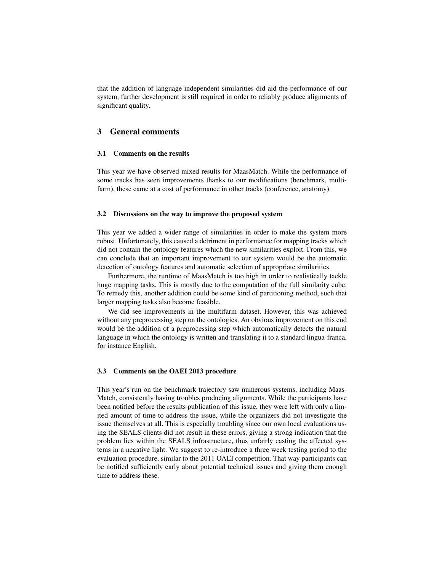that the addition of language independent similarities did aid the performance of our system, further development is still required in order to reliably produce alignments of significant quality.

## 3 General comments

#### 3.1 Comments on the results

This year we have observed mixed results for MaasMatch. While the performance of some tracks has seen improvements thanks to our modifications (benchmark, multifarm), these came at a cost of performance in other tracks (conference, anatomy).

### 3.2 Discussions on the way to improve the proposed system

This year we added a wider range of similarities in order to make the system more robust. Unfortunately, this caused a detriment in performance for mapping tracks which did not contain the ontology features which the new similarities exploit. From this, we can conclude that an important improvement to our system would be the automatic detection of ontology features and automatic selection of appropriate similarities.

Furthermore, the runtime of MaasMatch is too high in order to realistically tackle huge mapping tasks. This is mostly due to the computation of the full similarity cube. To remedy this, another addition could be some kind of partitioning method, such that larger mapping tasks also become feasible.

We did see improvements in the multifarm dataset. However, this was achieved without any preprocessing step on the ontologies. An obvious improvement on this end would be the addition of a preprocessing step which automatically detects the natural language in which the ontology is written and translating it to a standard lingua-franca, for instance English.

## 3.3 Comments on the OAEI 2013 procedure

This year's run on the benchmark trajectory saw numerous systems, including Maas-Match, consistently having troubles producing alignments. While the participants have been notified before the results publication of this issue, they were left with only a limited amount of time to address the issue, while the organizers did not investigate the issue themselves at all. This is especially troubling since our own local evaluations using the SEALS clients did not result in these errors, giving a strong indication that the problem lies within the SEALS infrastructure, thus unfairly casting the affected systems in a negative light. We suggest to re-introduce a three week testing period to the evaluation procedure, similar to the 2011 OAEI competition. That way participants can be notified sufficiently early about potential technical issues and giving them enough time to address these.